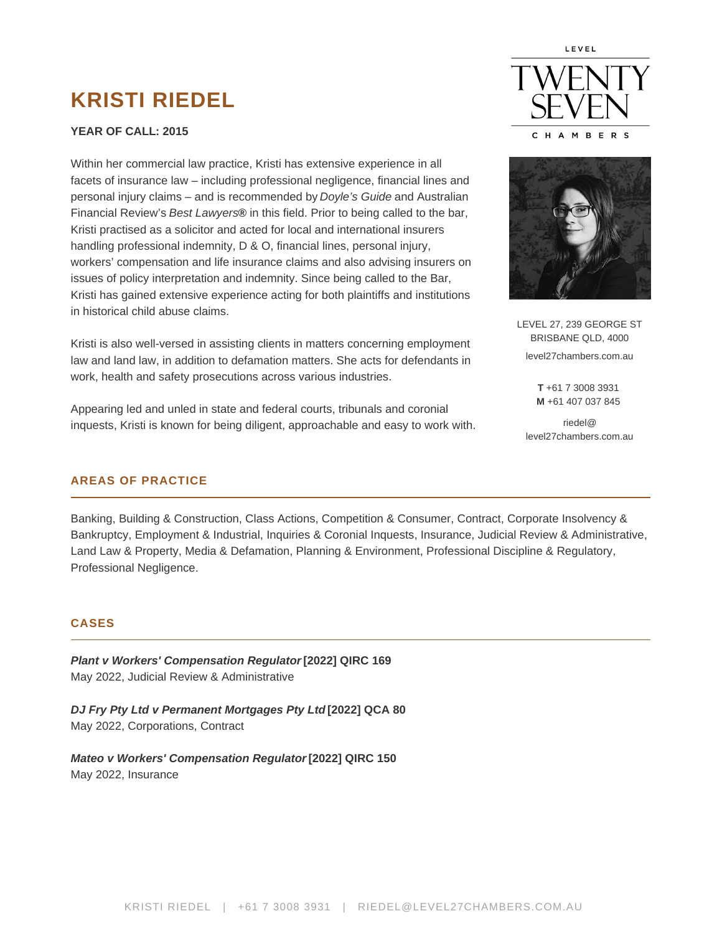# KRISTI RIEDEL

YEAR OF CALL : 2015

Within her commercial law practice, Kristi has extensive experience in all facets of insurance law – including professional negligence, financial lines and personal injury claims – and is recommended by [Doyle's Guide](https://doylesguide.com/) and Australian Financial Review's Best Lawyers® in this field. Prior to being called to the bar, Kristi practised as a solicitor and acted for local and international insurers handling professional indemnity, D & O, financial lines, personal injury, workers' compensation and life insurance claims and also advising insurers on issues of policy interpretation and indemnity. Since being called to the Bar, Kristi has gained extensive experience acting for both plaintiffs and institutions in historical child abuse claims.

Kristi is also well-versed in assisting clients in matters concerning employment law and land law, in addition to defamation matters. She acts for defendants in work, health and safety prosecutions across various industries.

Appearing led and unled in state and federal courts, tribunals and coronial inquests, Kristi is known for being diligent, approachable and easy to work with. LEVEL 27, 239 GEORGE ST BRISBANE QLD, 4000 level27chambers.com.au

> T +61 7 3008 3931 M +61 407 037 845

riedel@ level27chambers.com.au

# AREAS OF PRACTICE

Banking, Building & Construction, Class Actions, Competition & Consumer, Contract, Corporate Insolvency & Bankruptcy, Employment & Industrial, Inquiries & Coronial Inquests, Insurance, Judicial Review & Administrative, Land Law & Property, Media & Defamation, Planning & Environment, Professional Discipline & Regulatory, Professional Negligence.

# CASES

Plant v Workers' Compensation Regulator [2022] QIRC 169 May 2022, Judicial Review & Administrative

DJ Fry Pty Ltd v Permanent Mortgages Pty Ltd [2022] QCA 80 May 2022, Corporations, Contract

Mateo v Workers' Compensation Regulator [2022] QIRC 150 May 2022, Insurance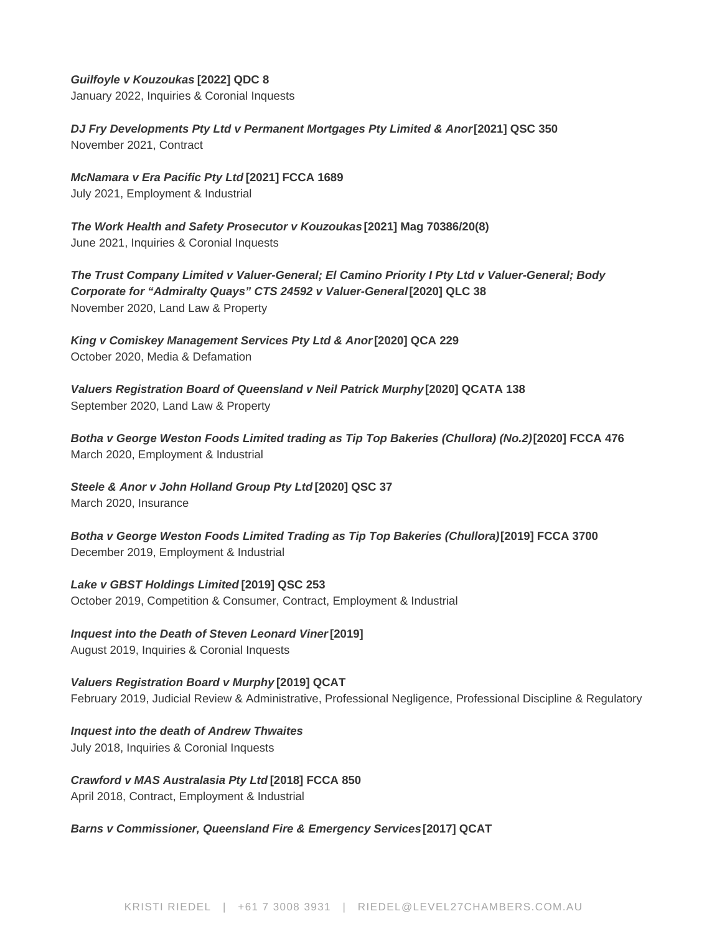## **Guilfoyle v Kouzoukas [2022] QDC 8**

January 2022, Inquiries & Coronial Inquests

**DJ Fry Developments Pty Ltd v Permanent Mortgages Pty Limited & Anor [2021] QSC 350** November 2021, Contract

**McNamara v Era Pacific Pty Ltd [2021] FCCA 1689** July 2021, Employment & Industrial

**The Work Health and Safety Prosecutor v Kouzoukas [2021] Mag 70386/20(8)** June 2021, Inquiries & Coronial Inquests

**The Trust Company Limited v Valuer-General; El Camino Priority I Pty Ltd v Valuer-General; Body Corporate for "Admiralty Quays" CTS 24592 v Valuer-General [2020] QLC 38** November 2020, Land Law & Property

King v Comiskey Management Services Pty Ltd & Anor<sup>[2020] QCA 229</sup> October 2020, Media & Defamation

**Valuers Registration Board of Queensland v Neil Patrick Murphy [2020] QCATA 138** September 2020, Land Law & Property

**Botha v George Weston Foods Limited trading as Tip Top Bakeries (Chullora) (No.2) [2020] FCCA 476** March 2020, Employment & Industrial

**Steele & Anor v John Holland Group Pty Ltd [2020] QSC 37**

March 2020, Insurance

**Botha v George Weston Foods Limited Trading as Tip Top Bakeries (Chullora) [2019] FCCA 3700** December 2019, Employment & Industrial

**Lake v GBST Holdings Limited [2019] QSC 253** October 2019, Competition & Consumer, Contract, Employment & Industrial

**Inquest into the Death of Steven Leonard Viner [2019]** August 2019, Inquiries & Coronial Inquests

**Valuers Registration Board v Murphy [2019] QCAT** February 2019, Judicial Review & Administrative, Professional Negligence, Professional Discipline & Regulatory

**Inquest into the death of Andrew Thwaites** July 2018, Inquiries & Coronial Inquests

**Crawford v MAS Australasia Pty Ltd [2018] FCCA 850** April 2018, Contract, Employment & Industrial

**Barns v Commissioner, Queensland Fire & Emergency Services [2017] QCAT**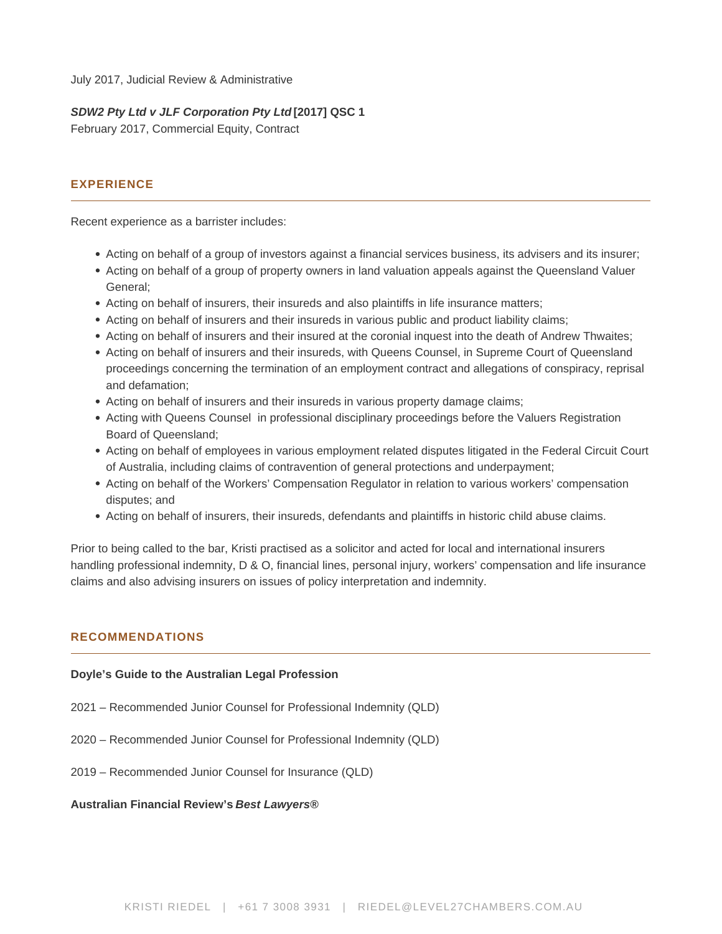July 2017, Judicial Review & Administrative

## **SDW2 Pty Ltd v JLF Corporation Pty Ltd [2017] QSC 1**

February 2017, Commercial Equity, Contract

# **EXPERIENCE**

Recent experience as a barrister includes:

- Acting on behalf of a group of investors against a financial services business, its advisers and its insurer;
- Acting on behalf of a group of property owners in land valuation appeals against the Queensland Valuer General;
- Acting on behalf of insurers, their insureds and also plaintiffs in life insurance matters;
- Acting on behalf of insurers and their insureds in various public and product liability claims;
- Acting on behalf of insurers and their insured at the coronial inquest into the death of Andrew Thwaites;
- Acting on behalf of insurers and their insureds, with Queens Counsel, in Supreme Court of Queensland proceedings concerning the termination of an employment contract and allegations of conspiracy, reprisal and defamation;
- Acting on behalf of insurers and their insureds in various property damage claims;
- Acting with Queens Counsel in professional disciplinary proceedings before the Valuers Registration Board of Queensland;
- Acting on behalf of employees in various employment related disputes litigated in the Federal Circuit Court of Australia, including claims of contravention of general protections and underpayment;
- Acting on behalf of the Workers' Compensation Regulator in relation to various workers' compensation disputes; and
- Acting on behalf of insurers, their insureds, defendants and plaintiffs in historic child abuse claims.

Prior to being called to the bar, Kristi practised as a solicitor and acted for local and international insurers handling professional indemnity, D & O, financial lines, personal injury, workers' compensation and life insurance claims and also advising insurers on issues of policy interpretation and indemnity.

#### **RECOMMENDATIONS**

#### **Doyle's Guide to the Australian Legal Profession**

- 2021 Recommended Junior Counsel for Professional Indemnity (QLD)
- 2020 Recommended Junior Counsel for Professional Indemnity (QLD)
- 2019 Recommended Junior Counsel for Insurance (QLD)

#### **Australian Financial Review's Best Lawyers®**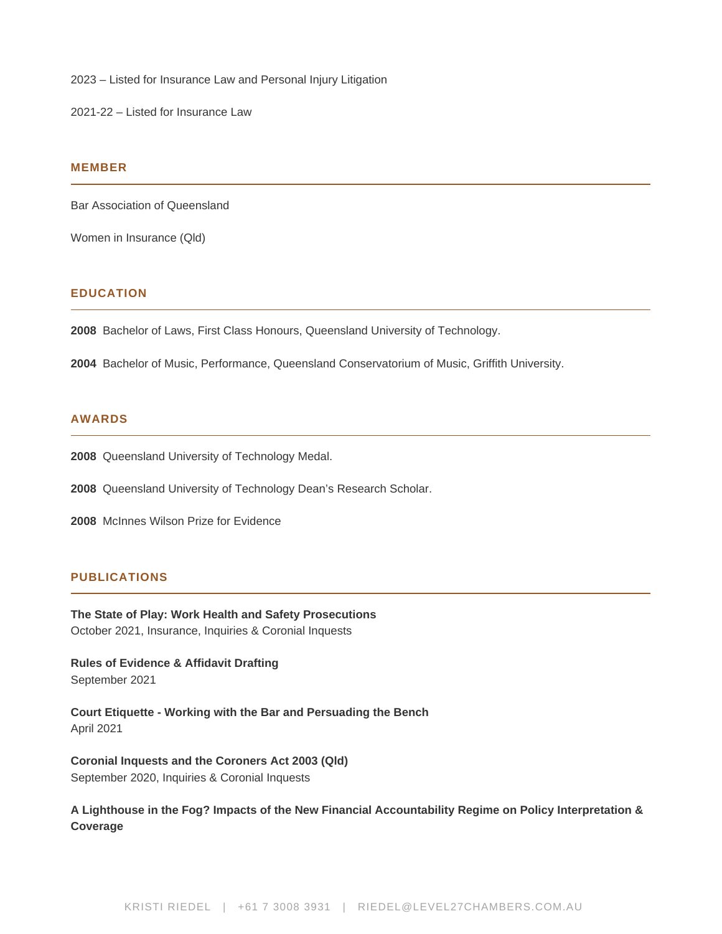2023 – Listed for Insurance Law and Personal Injury Litigation

2021-22 – Listed for Insurance Law

#### **MEMBER**

Bar Association of Queensland

Women in Insurance (Qld)

## **EDUCATION**

**2008** Bachelor of Laws, First Class Honours, Queensland University of Technology.

**2004** Bachelor of Music, Performance, Queensland Conservatorium of Music, Griffith University.

## **AWARDS**

**2008** Queensland University of Technology Medal.

**2008** Queensland University of Technology Dean's Research Scholar.

**2008** McInnes Wilson Prize for Evidence

# **PUBLICATIONS**

**The State of Play: Work Health and Safety Prosecutions** October 2021, Insurance, Inquiries & Coronial Inquests

**Rules of Evidence & Affidavit Drafting** September 2021

**Court Etiquette - Working with the Bar and Persuading the Bench** April 2021

**Coronial Inquests and the Coroners Act 2003 (Qld)** September 2020, Inquiries & Coronial Inquests

**A Lighthouse in the Fog? Impacts of the New Financial Accountability Regime on Policy Interpretation & Coverage**